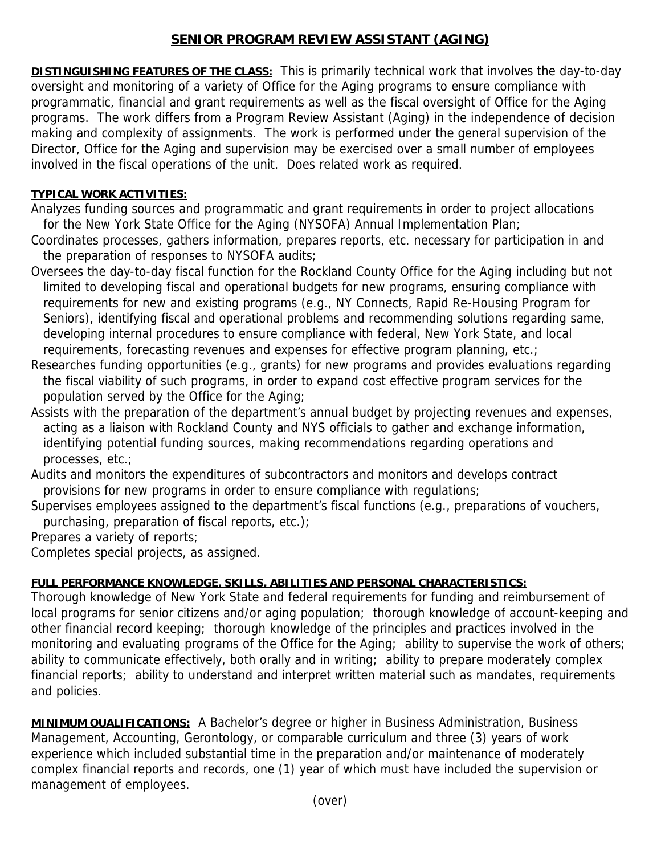## **SENIOR PROGRAM REVIEW ASSISTANT (AGING)**

**DISTINGUISHING FEATURES OF THE CLASS:** This is primarily technical work that involves the day-to-day oversight and monitoring of a variety of Office for the Aging programs to ensure compliance with programmatic, financial and grant requirements as well as the fiscal oversight of Office for the Aging programs. The work differs from a Program Review Assistant (Aging) in the independence of decision making and complexity of assignments. The work is performed under the general supervision of the Director, Office for the Aging and supervision may be exercised over a small number of employees involved in the fiscal operations of the unit. Does related work as required.

## **TYPICAL WORK ACTIVITIES:**

Analyzes funding sources and programmatic and grant requirements in order to project allocations for the New York State Office for the Aging (NYSOFA) Annual Implementation Plan;

Coordinates processes, gathers information, prepares reports, etc. necessary for participation in and the preparation of responses to NYSOFA audits;

Oversees the day-to-day fiscal function for the Rockland County Office for the Aging including but not limited to developing fiscal and operational budgets for new programs, ensuring compliance with requirements for new and existing programs (e.g., NY Connects, Rapid Re-Housing Program for Seniors), identifying fiscal and operational problems and recommending solutions regarding same, developing internal procedures to ensure compliance with federal, New York State, and local requirements, forecasting revenues and expenses for effective program planning, etc.;

Researches funding opportunities (e.g., grants) for new programs and provides evaluations regarding the fiscal viability of such programs, in order to expand cost effective program services for the population served by the Office for the Aging;

Assists with the preparation of the department's annual budget by projecting revenues and expenses, acting as a liaison with Rockland County and NYS officials to gather and exchange information, identifying potential funding sources, making recommendations regarding operations and processes, etc.;

Audits and monitors the expenditures of subcontractors and monitors and develops contract provisions for new programs in order to ensure compliance with regulations;

Supervises employees assigned to the department's fiscal functions (e.g., preparations of vouchers, purchasing, preparation of fiscal reports, etc.);

Prepares a variety of reports;

Completes special projects, as assigned.

## **FULL PERFORMANCE KNOWLEDGE, SKILLS, ABILITIES AND PERSONAL CHARACTERISTICS:**

Thorough knowledge of New York State and federal requirements for funding and reimbursement of local programs for senior citizens and/or aging population; thorough knowledge of account-keeping and other financial record keeping; thorough knowledge of the principles and practices involved in the monitoring and evaluating programs of the Office for the Aging; ability to supervise the work of others; ability to communicate effectively, both orally and in writing; ability to prepare moderately complex financial reports; ability to understand and interpret written material such as mandates, requirements and policies.

**MINIMUM QUALIFICATIONS:** A Bachelor's degree or higher in Business Administration, Business Management, Accounting, Gerontology, or comparable curriculum and three (3) years of work experience which included substantial time in the preparation and/or maintenance of moderately complex financial reports and records, one (1) year of which must have included the supervision or management of employees.